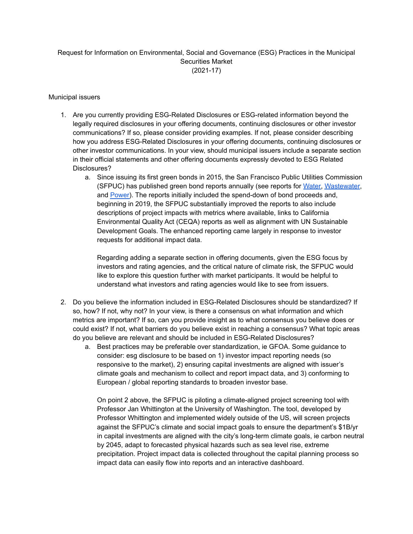## Request for Information on Environmental, Social and Governance (ESG) Practices in the Municipal Securities Market (2021-17)

## Municipal issuers

- 1. Are you currently providing ESG-Related Disclosures or ESG-related information beyond the legally required disclosures in your offering documents, continuing disclosures or other investor communications? If so, please consider providing examples. If not, please consider describing how you address ESG-Related Disclosures in your offering documents, continuing disclosures or other investor communications. In your view, should municipal issuers include a separate section in their official statements and other offering documents expressly devoted to ESG Related Disclosures?
	- a. Since issuing its first green bonds in 2015, the San Francisco Public Utilities Commission (SFPUC) has published green bond reports annually (see reports for [Water,](https://sfpuc.org/sites/default/files/about-us/policies-reports/FY20_WaterGreenBondReport.pdf) [Wastewater,](https://sfpuc.org/sites/default/files/about-us/policies-reports/FY20_WastewaterGreenBondReport.pdf) and [Power\)](https://sfpuc.org/sites/default/files/about-us/policies-reports/FY20_PowerGreenBondReport.pdf). The reports initially included the spend-down of bond proceeds and, beginning in 2019, the SFPUC substantially improved the reports to also include descriptions of project impacts with metrics where available, links to California Environmental Quality Act (CEQA) reports as well as alignment with UN Sustainable Development Goals. The enhanced reporting came largely in response to investor requests for additional impact data.

Regarding adding a separate section in offering documents, given the ESG focus by investors and rating agencies, and the critical nature of climate risk, the SFPUC would like to explore this question further with market participants. It would be helpful to understand what investors and rating agencies would like to see from issuers.

- 2. Do you believe the information included in ESG-Related Disclosures should be standardized? If so, how? If not, why not? In your view, is there a consensus on what information and which metrics are important? If so, can you provide insight as to what consensus you believe does or could exist? If not, what barriers do you believe exist in reaching a consensus? What topic areas do you believe are relevant and should be included in ESG-Related Disclosures?
	- a. Best practices may be preferable over standardization, ie GFOA. Some guidance to consider: esg disclosure to be based on 1) investor impact reporting needs (so responsive to the market), 2) ensuring capital investments are aligned with issuer's climate goals and mechanism to collect and report impact data, and 3) conforming to European / global reporting standards to broaden investor base.

On point 2 above, the SFPUC is piloting a climate-aligned project screening tool with Professor Jan Whittington at the University of Washington. The tool, developed by Professor Whittington and implemented widely outside of the US, will screen projects against the SFPUC's climate and social impact goals to ensure the department's \$1B/yr in capital investments are aligned with the city's long-term climate goals, ie carbon neutral by 2045, adapt to forecasted physical hazards such as sea level rise, extreme precipitation. Project impact data is collected throughout the capital planning process so impact data can easily flow into reports and an interactive dashboard.